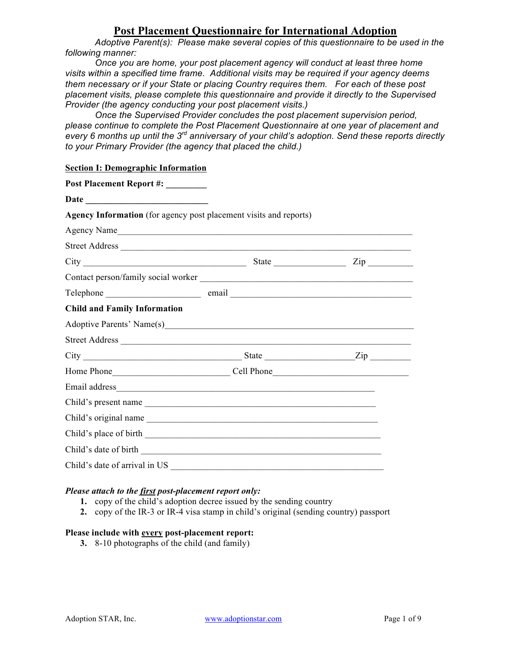# **Post Placement Questionnaire for International Adoption**

*Adoptive Parent(s): Please make several copies of this questionnaire to be used in the following manner:*

*Once you are home, your post placement agency will conduct at least three home visits within a specified time frame. Additional visits may be required if your agency deems them necessary or if your State or placing Country requires them. For each of these post placement visits, please complete this questionnaire and provide it directly to the Supervised Provider (the agency conducting your post placement visits.)*

*Once the Supervised Provider concludes the post placement supervision period, please continue to complete the Post Placement Questionnaire at one year of placement and every 6 months up until the 3rd anniversary of your child's adoption. Send these reports directly to your Primary Provider (the agency that placed the child.)*

## **Section I: Demographic Information**

| Post Placement Report #: _______                                  |  |
|-------------------------------------------------------------------|--|
|                                                                   |  |
| Agency Information (for agency post placement visits and reports) |  |
|                                                                   |  |
|                                                                   |  |
|                                                                   |  |
|                                                                   |  |
|                                                                   |  |
| <b>Child and Family Information</b>                               |  |
|                                                                   |  |
|                                                                   |  |
|                                                                   |  |
|                                                                   |  |
|                                                                   |  |
| Child's present name                                              |  |
| Child's original name                                             |  |
|                                                                   |  |
|                                                                   |  |
| Child's date of arrival in US                                     |  |

# *Please attach to the first post-placement report only:*

- **1.** copy of the child's adoption decree issued by the sending country
- **2.** copy of the IR-3 or IR-4 visa stamp in child's original (sending country) passport

## **Please include with every post-placement report:**

**3.** 8-10 photographs of the child (and family)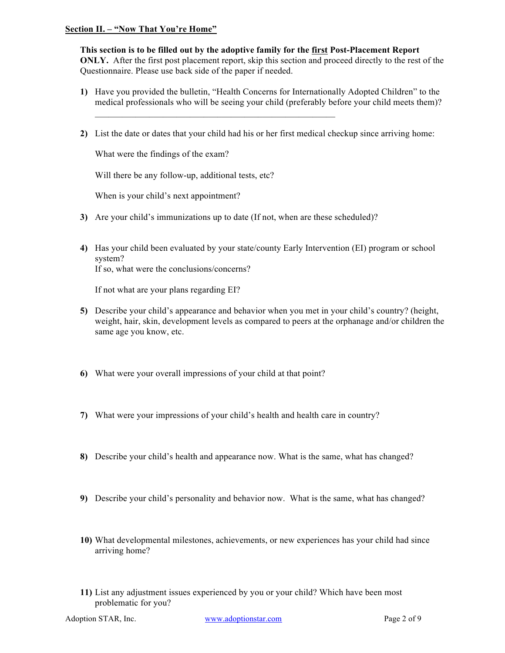## **Section II. – "Now That You're Home"**

**This section is to be filled out by the adoptive family for the first Post-Placement Report ONLY.** After the first post placement report, skip this section and proceed directly to the rest of the Questionnaire. Please use back side of the paper if needed.

- **1)** Have you provided the bulletin, "Health Concerns for Internationally Adopted Children" to the medical professionals who will be seeing your child (preferably before your child meets them)?
- **2)** List the date or dates that your child had his or her first medical checkup since arriving home:

What were the findings of the exam?

Will there be any follow-up, additional tests, etc?

When is your child's next appointment?

**3)** Are your child's immunizations up to date (If not, when are these scheduled)?

 $\mathcal{L}_\text{max} = \mathcal{L}_\text{max} = \mathcal{L}_\text{max} = \mathcal{L}_\text{max} = \mathcal{L}_\text{max} = \mathcal{L}_\text{max} = \mathcal{L}_\text{max} = \mathcal{L}_\text{max} = \mathcal{L}_\text{max} = \mathcal{L}_\text{max} = \mathcal{L}_\text{max} = \mathcal{L}_\text{max} = \mathcal{L}_\text{max} = \mathcal{L}_\text{max} = \mathcal{L}_\text{max} = \mathcal{L}_\text{max} = \mathcal{L}_\text{max} = \mathcal{L}_\text{max} = \mathcal{$ 

**4)** Has your child been evaluated by your state/county Early Intervention (EI) program or school system?

If so, what were the conclusions/concerns?

If not what are your plans regarding EI?

- **5)** Describe your child's appearance and behavior when you met in your child's country? (height, weight, hair, skin, development levels as compared to peers at the orphanage and/or children the same age you know, etc.
- **6)** What were your overall impressions of your child at that point?
- **7)** What were your impressions of your child's health and health care in country?
- **8)** Describe your child's health and appearance now. What is the same, what has changed?
- **9)** Describe your child's personality and behavior now. What is the same, what has changed?
- **10)** What developmental milestones, achievements, or new experiences has your child had since arriving home?
- **11)** List any adjustment issues experienced by you or your child? Which have been most problematic for you?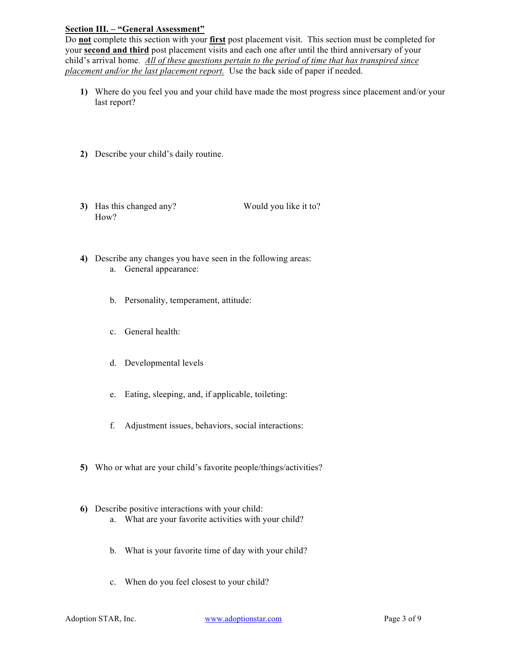## **Section III. – "General Assessment"**

Do **not** complete this section with your **first** post placement visit. This section must be completed for your **second and third** post placement visits and each one after until the third anniversary of your child's arrival home*. All of these questions pertain to the period of time that has transpired since placement and/or the last placement report.* Use the back side of paper if needed.

- **1)** Where do you feel you and your child have made the most progress since placement and/or your last report?
- **2)** Describe your child's daily routine.
- **3)** Has this changed any? Would you like it to? How?

- **4)** Describe any changes you have seen in the following areas: a. General appearance:
	- b. Personality, temperament, attitude:
	- c. General health:
	- d. Developmental levels
	- e. Eating, sleeping, and, if applicable, toileting:
	- f. Adjustment issues, behaviors, social interactions:
- **5)** Who or what are your child's favorite people/things/activities?
- **6)** Describe positive interactions with your child:
	- a. What are your favorite activities with your child?
	- b. What is your favorite time of day with your child?
	- c. When do you feel closest to your child?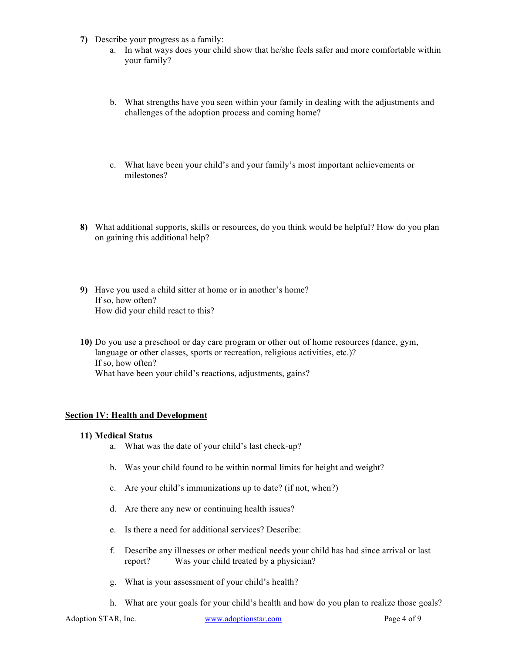- **7)** Describe your progress as a family:
	- a. In what ways does your child show that he/she feels safer and more comfortable within your family?
	- b. What strengths have you seen within your family in dealing with the adjustments and challenges of the adoption process and coming home?
	- c. What have been your child's and your family's most important achievements or milestones?
- **8)** What additional supports, skills or resources, do you think would be helpful? How do you plan on gaining this additional help?
- **9)** Have you used a child sitter at home or in another's home? If so, how often? How did your child react to this?
- **10)** Do you use a preschool or day care program or other out of home resources (dance, gym, language or other classes, sports or recreation, religious activities, etc.)? If so, how often? What have been your child's reactions, adjustments, gains?

## **Section IV: Health and Development**

#### **11) Medical Status**

- a. What was the date of your child's last check-up?
- b. Was your child found to be within normal limits for height and weight?
- c. Are your child's immunizations up to date? (if not, when?)
- d. Are there any new or continuing health issues?
- e. Is there a need for additional services? Describe:
- f. Describe any illnesses or other medical needs your child has had since arrival or last report? Was your child treated by a physician?
- g. What is your assessment of your child's health?
- h. What are your goals for your child's health and how do you plan to realize those goals?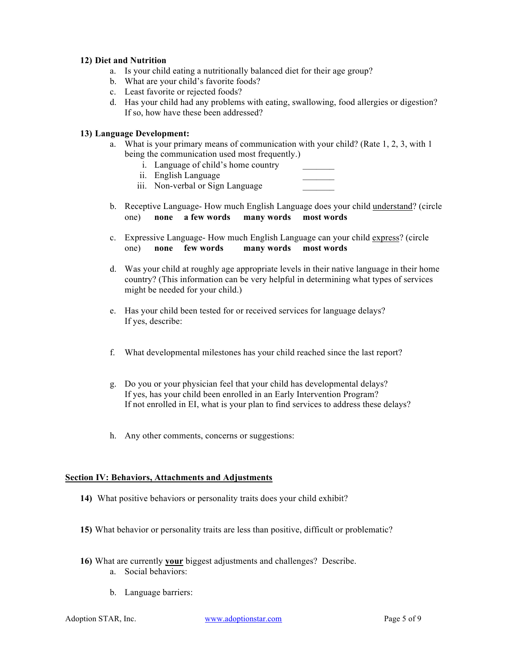## **12) Diet and Nutrition**

- a. Is your child eating a nutritionally balanced diet for their age group?
- b. What are your child's favorite foods?
- c. Least favorite or rejected foods?
- d. Has your child had any problems with eating, swallowing, food allergies or digestion? If so, how have these been addressed?

## **13) Language Development:**

- a. What is your primary means of communication with your child? (Rate 1, 2, 3, with 1 being the communication used most frequently.)
	- i. Language of child's home country
	- ii. English Language

iii. Non-verbal or Sign Language

- b. Receptive Language- How much English Language does your child understand? (circle one) **none a few words many words most words**
- c. Expressive Language- How much English Language can your child express? (circle one) **none few words many words most words**
- d. Was your child at roughly age appropriate levels in their native language in their home country? (This information can be very helpful in determining what types of services might be needed for your child.)
- e. Has your child been tested for or received services for language delays? If yes, describe:
- f. What developmental milestones has your child reached since the last report?
- g. Do you or your physician feel that your child has developmental delays? If yes, has your child been enrolled in an Early Intervention Program? If not enrolled in EI, what is your plan to find services to address these delays?
- h. Any other comments, concerns or suggestions:

#### **Section IV: Behaviors, Attachments and Adjustments**

- **14)** What positive behaviors or personality traits does your child exhibit?
- **15)** What behavior or personality traits are less than positive, difficult or problematic?
- **16)** What are currently **your** biggest adjustments and challenges? Describe.
	- a. Social behaviors:
	- b. Language barriers: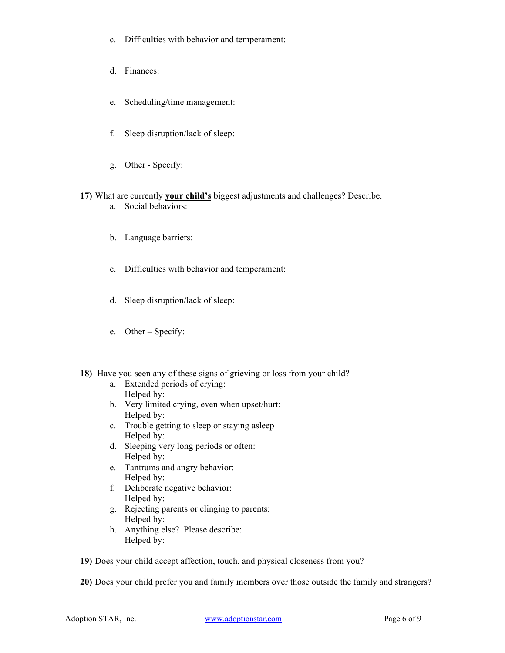- c. Difficulties with behavior and temperament:
- d. Finances:
- e. Scheduling/time management:
- f. Sleep disruption/lack of sleep:
- g. Other Specify:
- **17)** What are currently **your child's** biggest adjustments and challenges? Describe.
	- a. Social behaviors:
	- b. Language barriers:
	- c. Difficulties with behavior and temperament:
	- d. Sleep disruption/lack of sleep:
	- e. Other Specify:
- **18)** Have you seen any of these signs of grieving or loss from your child?
	- a. Extended periods of crying: Helped by:
	- b. Very limited crying, even when upset/hurt: Helped by:
	- c. Trouble getting to sleep or staying asleep Helped by:
	- d. Sleeping very long periods or often: Helped by:
	- e. Tantrums and angry behavior: Helped by:
	- f. Deliberate negative behavior: Helped by:
	- g. Rejecting parents or clinging to parents: Helped by:
	- h. Anything else? Please describe: Helped by:
- **19)** Does your child accept affection, touch, and physical closeness from you?

**20)** Does your child prefer you and family members over those outside the family and strangers?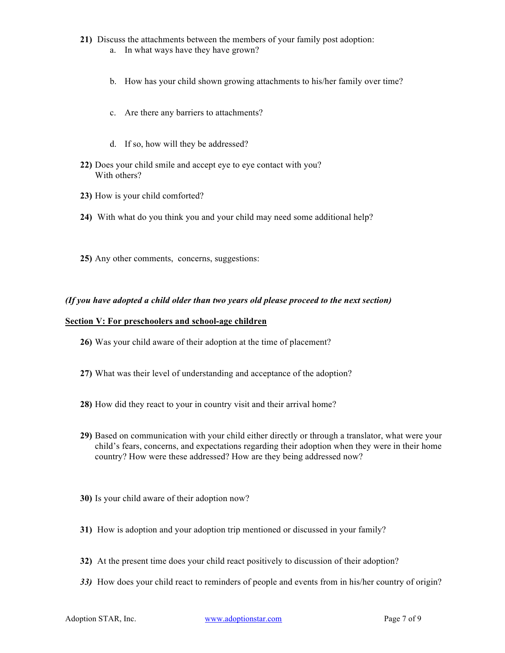- **21)** Discuss the attachments between the members of your family post adoption: a. In what ways have they have grown?
	- b. How has your child shown growing attachments to his/her family over time?
	- c. Are there any barriers to attachments?
	- d. If so, how will they be addressed?
- **22)** Does your child smile and accept eye to eye contact with you? With others?
- **23)** How is your child comforted?
- **24)** With what do you think you and your child may need some additional help?
- **25)** Any other comments, concerns, suggestions:

## *(If you have adopted a child older than two years old please proceed to the next section)*

#### **Section V: For preschoolers and school-age children**

- **26)** Was your child aware of their adoption at the time of placement?
- **27)** What was their level of understanding and acceptance of the adoption?
- **28)** How did they react to your in country visit and their arrival home?
- **29)** Based on communication with your child either directly or through a translator, what were your child's fears, concerns, and expectations regarding their adoption when they were in their home country? How were these addressed? How are they being addressed now?
- **30)** Is your child aware of their adoption now?
- **31)** How is adoption and your adoption trip mentioned or discussed in your family?
- **32)** At the present time does your child react positively to discussion of their adoption?
- *33)* How does your child react to reminders of people and events from in his/her country of origin?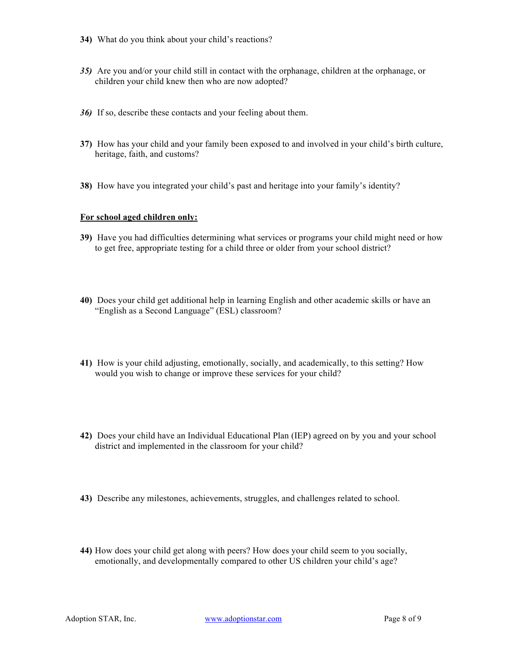- **34)** What do you think about your child's reactions?
- *35)* Are you and/or your child still in contact with the orphanage, children at the orphanage, or children your child knew then who are now adopted?
- *36)* If so, describe these contacts and your feeling about them.
- **37)** How has your child and your family been exposed to and involved in your child's birth culture, heritage, faith, and customs?
- **38)** How have you integrated your child's past and heritage into your family's identity?

## **For school aged children only:**

- **39)** Have you had difficulties determining what services or programs your child might need or how to get free, appropriate testing for a child three or older from your school district?
- **40)** Does your child get additional help in learning English and other academic skills or have an "English as a Second Language" (ESL) classroom?
- **41)** How is your child adjusting, emotionally, socially, and academically, to this setting? How would you wish to change or improve these services for your child?
- **42)** Does your child have an Individual Educational Plan (IEP) agreed on by you and your school district and implemented in the classroom for your child?
- **43)** Describe any milestones, achievements, struggles, and challenges related to school.
- **44)** How does your child get along with peers? How does your child seem to you socially, emotionally, and developmentally compared to other US children your child's age?